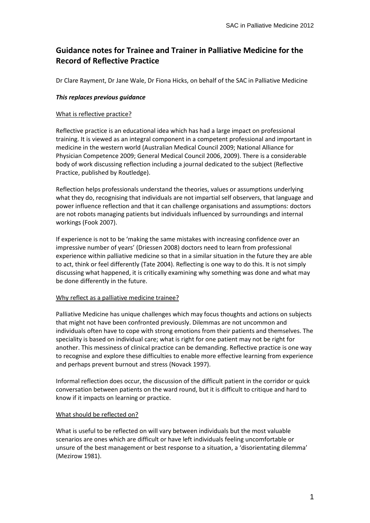# **Guidance notes for Trainee and Trainer in Palliative Medicine for the Record of Reflective Practice**

Dr Clare Rayment, Dr Jane Wale, Dr Fiona Hicks, on behalf of the SAC in Palliative Medicine

## *This replaces previous guidance*

#### What is reflective practice?

Reflective practice is an educational idea which has had a large impact on professional training. It is viewed as an integral component in a competent professional and important in medicine in the western world (Australian Medical Council 2009; National Alliance for Physician Competence 2009; General Medical Council 2006, 2009). There is a considerable body of work discussing reflection including a journal dedicated to the subject (Reflective Practice, published by Routledge).

Reflection helps professionals understand the theories, values or assumptions underlying what they do, recognising that individuals are not impartial self observers, that language and power influence reflection and that it can challenge organisations and assumptions: doctors are not robots managing patients but individuals influenced by surroundings and internal workings (Fook 2007).

If experience is not to be 'making the same mistakes with increasing confidence over an impressive number of years' (Driessen 2008) doctors need to learn from professional experience within palliative medicine so that in a similar situation in the future they are able to act, think or feel differently (Tate 2004). Reflecting is one way to do this. It is not simply discussing what happened, it is critically examining why something was done and what may be done differently in the future.

## Why reflect as a palliative medicine trainee?

Palliative Medicine has unique challenges which may focus thoughts and actions on subjects that might not have been confronted previously. Dilemmas are not uncommon and individuals often have to cope with strong emotions from their patients and themselves. The speciality is based on individual care; what is right for one patient may not be right for another. This messiness of clinical practice can be demanding. Reflective practice is one way to recognise and explore these difficulties to enable more effective learning from experience and perhaps prevent burnout and stress (Novack 1997).

Informal reflection does occur, the discussion of the difficult patient in the corridor or quick conversation between patients on the ward round, but it is difficult to critique and hard to know if it impacts on learning or practice.

#### What should be reflected on?

What is useful to be reflected on will vary between individuals but the most valuable scenarios are ones which are difficult or have left individuals feeling uncomfortable or unsure of the best management or best response to a situation, a 'disorientating dilemma' (Mezirow 1981).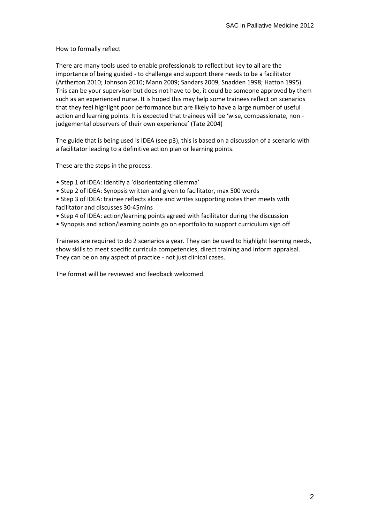## How to formally reflect

There are many tools used to enable professionals to reflect but key to all are the importance of being guided - to challenge and support there needs to be a facilitator (Artherton 2010; Johnson 2010; Mann 2009; Sandars 2009, Snadden 1998; Hatton 1995). This can be your supervisor but does not have to be, it could be someone approved by them such as an experienced nurse. It is hoped this may help some trainees reflect on scenarios that they feel highlight poor performance but are likely to have a large number of useful action and learning points. It is expected that trainees will be 'wise, compassionate, non judgemental observers of their own experience' (Tate 2004)

The guide that is being used is IDEA (see p3), this is based on a discussion of a scenario with a facilitator leading to a definitive action plan or learning points.

These are the steps in the process.

- Step 1 of IDEA: Identify a 'disorientating dilemma'
- Step 2 of IDEA: Synopsis written and given to facilitator, max 500 words
- Step 3 of IDEA: trainee reflects alone and writes supporting notes then meets with facilitator and discusses 30-45mins
- Step 4 of IDEA: action/learning points agreed with facilitator during the discussion
- Synopsis and action/learning points go on eportfolio to support curriculum sign off

Trainees are required to do 2 scenarios a year. They can be used to highlight learning needs, show skills to meet specific curricula competencies, direct training and inform appraisal. They can be on any aspect of practice - not just clinical cases.

The format will be reviewed and feedback welcomed.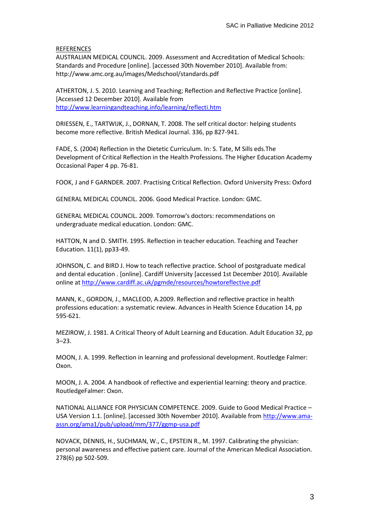#### **REFERENCES**

AUSTRALIAN MEDICAL COUNCIL. 2009. Assessment and Accreditation of Medical Schools: Standards and Procedure [online]. [accessed 30th November 2010]. Available from: http://www.amc.org.au/images/Medschool/standards.pdf

ATHERTON, J. S. 2010. Learning and Teaching; Reflection and Reflective Practice [online]. [Accessed 12 December 2010]. Available from <http://www.learningandteaching.info/learning/reflecti.htm>

DRIESSEN, E., TARTWIJK, J., DORNAN, T. 2008. The self critical doctor: helping students become more reflective. British Medical Journal. 336, pp 827-941.

FADE, S. (2004) Reflection in the Dietetic Curriculum. In: S. Tate, M Sills eds.The Development of Critical Reflection in the Health Professions. The Higher Education Academy Occasional Paper 4 pp. 76-81.

FOOK, J and F GARNDER. 2007. Practising Critical Reflection. Oxford University Press: Oxford

GENERAL MEDICAL COUNCIL. 2006. Good Medical Practice. London: GMC.

GENERAL MEDICAL COUNCIL. 2009. Tomorrow's doctors: recommendations on undergraduate medical education. London: GMC.

HATTON, N and D. SMITH. 1995. Reflection in teacher education. Teaching and Teacher Education. 11(1), pp33-49.

JOHNSON, C. and BIRD J. How to teach reflective practice. School of postgraduate medical and dental education . [online]. Cardiff University [accessed 1st December 2010]. Available online at<http://www.cardiff.ac.uk/pgmde/resources/howtoreflective.pdf>

MANN, K., GORDON, J., MACLEOD, A.2009. Reflection and reflective practice in health professions education: a systematic review. Advances in Health Science Education 14, pp 595-621.

MEZIROW, J. 1981. A Critical Theory of Adult Learning and Education. Adult Education 32, pp 3–23.

MOON, J. A. 1999. Reflection in learning and professional development. Routledge Falmer: Oxon.

MOON, J. A. 2004. A handbook of reflective and experiential learning: theory and practice. RoutledgeFalmer: Oxon.

NATIONAL ALLIANCE FOR PHYSICIAN COMPETENCE. 2009. Guide to Good Medical Practice – USA Version 1.1. [online]. [accessed 30th November 2010]. Available from [http://www.ama](http://www.ama-assn.org/ama1/pub/upload/mm/377/ggmp-usa.pdf)[assn.org/ama1/pub/upload/mm/377/ggmp-usa.pdf](http://www.ama-assn.org/ama1/pub/upload/mm/377/ggmp-usa.pdf)

NOVACK, DENNIS, H., SUCHMAN, W., C., EPSTEIN R., M. 1997. Calibrating the physician: personal awareness and effective patient care. Journal of the American Medical Association. 278(6) pp 502-509.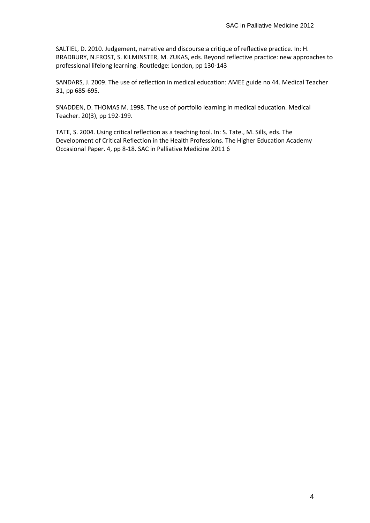SALTIEL, D. 2010. Judgement, narrative and discourse:a critique of reflective practice. In: H. BRADBURY, N.FROST, S. KILMINSTER, M. ZUKAS, eds. Beyond reflective practice: new approaches to professional lifelong learning. Routledge: London, pp 130-143

SANDARS, J. 2009. The use of reflection in medical education: AMEE guide no 44. Medical Teacher 31, pp 685-695.

SNADDEN, D. THOMAS M. 1998. The use of portfolio learning in medical education. Medical Teacher. 20(3), pp 192-199.

TATE, S. 2004. Using critical reflection as a teaching tool. In: S. Tate., M. Sills, eds. The Development of Critical Reflection in the Health Professions. The Higher Education Academy Occasional Paper. 4, pp 8-18. SAC in Palliative Medicine 2011 6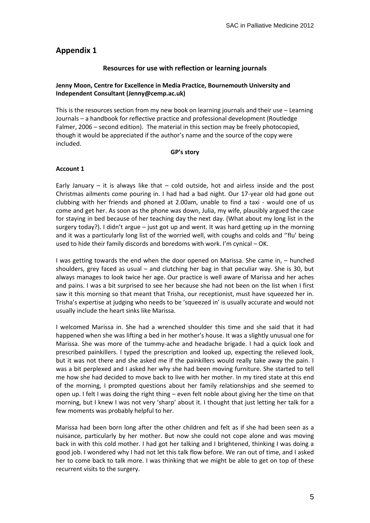## **Appendix 1**

## **Resources for use with reflection or learning journals**

## **Jenny Moon, Centre for Excellence in Media Practice, Bournemouth University and Independent Consultant (Jenny@cemp.ac.uk)**

This is the resources section from my new book on learning journals and their use – Learning Journals – a handbook for reflective practice and professional development (Routledge Falmer, 2006 – second edition). The material in this section may be freely photocopied, though it would be appreciated if the author's name and the source of the copy were included.

#### **GP's story**

## **Account 1**

Early January  $-$  it is always like that  $-$  cold outside, hot and airless inside and the post Christmas ailments come pouring in. I had had a bad night. Our 17-year old had gone out clubbing with her friends and phoned at 2.00am, unable to find a taxi - would one of us come and get her. As soon as the phone was down, Julia, my wife, plausibly argued the case for staying in bed because of her teaching day the next day. (What about my long list in the surgery today?). I didn't argue – just got up and went. It was hard getting up in the morning and it was a particularly long list of the worried well, with coughs and colds and "flu' being used to hide their family discords and boredoms with work. I'm cynical – OK.

I was getting towards the end when the door opened on Marissa. She came in, – hunched shoulders, grey faced as usual – and clutching her bag in that peculiar way. She is 30, but always manages to look twice her age. Our practice is well aware of Marissa and her aches and pains. I was a bit surprised to see her because she had not been on the list when I first saw it this morning so that meant that Trisha, our receptionist, must have squeezed her in. Trisha's expertise at judging who needs to be 'squeezed in' is usually accurate and would not usually include the heart sinks like Marissa.

I welcomed Marissa in. She had a wrenched shoulder this time and she said that it had happened when she was lifting a bed in her mother's house. It was a slightly unusual one for Marissa. She was more of the tummy-ache and headache brigade. I had a quick look and prescribed painkillers. I typed the prescription and looked up, expecting the relieved look, but it was not there and she asked me if the painkillers would really take away the pain. I was a bit perplexed and I asked her why she had been moving furniture. She started to tell me how she had decided to move back to live with her mother. In my tired state at this end of the morning, I prompted questions about her family relationships and she seemed to open up. I felt I was doing the right thing – even felt noble about giving her the time on that morning, but I knew I was not very 'sharp' about it. I thought that just letting her talk for a few moments was probably helpful to her.

Marissa had been born long after the other children and felt as if she had been seen as a nuisance, particularly by her mother. But now she could not cope alone and was moving back in with this cold mother. I had got her talking and I brightened, thinking I was doing a good job. I wondered why I had not let this talk flow before. We ran out of time, and I asked her to come back to talk more. I was thinking that we might be able to get on top of these recurrent visits to the surgery.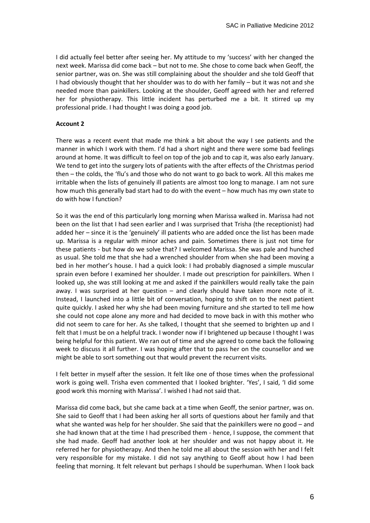I did actually feel better after seeing her. My attitude to my 'success' with her changed the next week. Marissa did come back – but not to me. She chose to come back when Geoff, the senior partner, was on. She was still complaining about the shoulder and she told Geoff that I had obviously thought that her shoulder was to do with her family – but it was not and she needed more than painkillers. Looking at the shoulder, Geoff agreed with her and referred her for physiotherapy. This little incident has perturbed me a bit. It stirred up my professional pride. I had thought I was doing a good job.

#### **Account 2**

There was a recent event that made me think a bit about the way I see patients and the manner in which I work with them. I'd had a short night and there were some bad feelings around at home. It was difficult to feel on top of the job and to cap it, was also early January. We tend to get into the surgery lots of patients with the after effects of the Christmas period then – the colds, the 'flu's and those who do not want to go back to work. All this makes me irritable when the lists of genuinely ill patients are almost too long to manage. I am not sure how much this generally bad start had to do with the event – how much has my own state to do with how I function?

So it was the end of this particularly long morning when Marissa walked in. Marissa had not been on the list that I had seen earlier and I was surprised that Trisha (the receptionist) had added her – since it is the 'genuinely' ill patients who are added once the list has been made up. Marissa is a regular with minor aches and pain. Sometimes there is just not time for these patients - but how do we solve that? I welcomed Marissa. She was pale and hunched as usual. She told me that she had a wrenched shoulder from when she had been moving a bed in her mother's house. I had a quick look: I had probably diagnosed a simple muscular sprain even before I examined her shoulder. I made out prescription for painkillers. When I looked up, she was still looking at me and asked if the painkillers would really take the pain away. I was surprised at her question – and clearly should have taken more note of it. Instead, I launched into a little bit of conversation, hoping to shift on to the next patient quite quickly. I asked her why she had been moving furniture and she started to tell me how she could not cope alone any more and had decided to move back in with this mother who did not seem to care for her. As she talked, I thought that she seemed to brighten up and I felt that I must be on a helpful track. I wonder now if I brightened up because I thought I was being helpful for this patient. We ran out of time and she agreed to come back the following week to discuss it all further. I was hoping after that to pass her on the counsellor and we might be able to sort something out that would prevent the recurrent visits.

I felt better in myself after the session. It felt like one of those times when the professional work is going well. Trisha even commented that I looked brighter. 'Yes', I said, 'I did some good work this morning with Marissa'. I wished I had not said that.

Marissa did come back, but she came back at a time when Geoff, the senior partner, was on. She said to Geoff that I had been asking her all sorts of questions about her family and that what she wanted was help for her shoulder. She said that the painkillers were no good – and she had known that at the time I had prescribed them - hence, I suppose, the comment that she had made. Geoff had another look at her shoulder and was not happy about it. He referred her for physiotherapy. And then he told me all about the session with her and I felt very responsible for my mistake. I did not say anything to Geoff about how I had been feeling that morning. It felt relevant but perhaps I should be superhuman. When I look back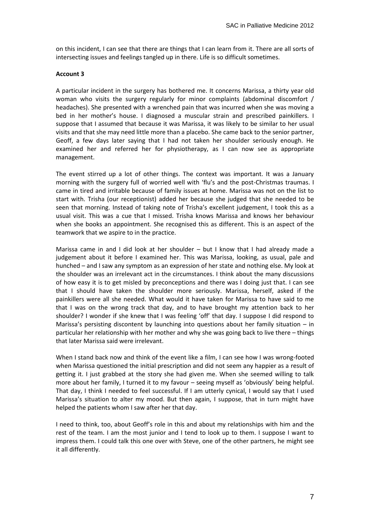on this incident, I can see that there are things that I can learn from it. There are all sorts of intersecting issues and feelings tangled up in there. Life is so difficult sometimes.

#### **Account 3**

A particular incident in the surgery has bothered me. It concerns Marissa, a thirty year old woman who visits the surgery regularly for minor complaints (abdominal discomfort / headaches). She presented with a wrenched pain that was incurred when she was moving a bed in her mother's house. I diagnosed a muscular strain and prescribed painkillers. I suppose that I assumed that because it was Marissa, it was likely to be similar to her usual visits and that she may need little more than a placebo. She came back to the senior partner, Geoff, a few days later saying that I had not taken her shoulder seriously enough. He examined her and referred her for physiotherapy, as I can now see as appropriate management.

The event stirred up a lot of other things. The context was important. It was a January morning with the surgery full of worried well with 'flu's and the post-Christmas traumas. I came in tired and irritable because of family issues at home. Marissa was not on the list to start with. Trisha (our receptionist) added her because she judged that she needed to be seen that morning. Instead of taking note of Trisha's excellent judgement, I took this as a usual visit. This was a cue that I missed. Trisha knows Marissa and knows her behaviour when she books an appointment. She recognised this as different. This is an aspect of the teamwork that we aspire to in the practice.

Marissa came in and I did look at her shoulder – but I know that I had already made a judgement about it before I examined her. This was Marissa, looking, as usual, pale and hunched – and I saw any symptom as an expression of her state and nothing else. My look at the shoulder was an irrelevant act in the circumstances. I think about the many discussions of how easy it is to get misled by preconceptions and there was I doing just that. I can see that I should have taken the shoulder more seriously. Marissa, herself, asked if the painkillers were all she needed. What would it have taken for Marissa to have said to me that I was on the wrong track that day, and to have brought my attention back to her shoulder? I wonder if she knew that I was feeling 'off' that day. I suppose I did respond to Marissa's persisting discontent by launching into questions about her family situation – in particular her relationship with her mother and why she was going back to live there – things that later Marissa said were irrelevant.

When I stand back now and think of the event like a film, I can see how I was wrong-footed when Marissa questioned the initial prescription and did not seem any happier as a result of getting it. I just grabbed at the story she had given me. When she seemed willing to talk more about her family, I turned it to my favour – seeing myself as 'obviously' being helpful. That day, I think I needed to feel successful. If I am utterly cynical, I would say that I used Marissa's situation to alter my mood. But then again, I suppose, that in turn might have helped the patients whom I saw after her that day.

I need to think, too, about Geoff's role in this and about my relationships with him and the rest of the team. I am the most junior and I tend to look up to them. I suppose I want to impress them. I could talk this one over with Steve, one of the other partners, he might see it all differently.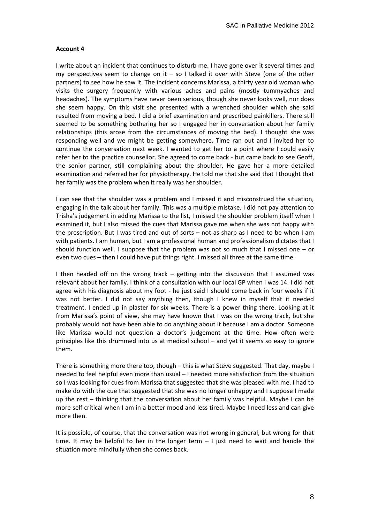#### **Account 4**

I write about an incident that continues to disturb me. I have gone over it several times and my perspectives seem to change on it  $-$  so I talked it over with Steve (one of the other partners) to see how he saw it. The incident concerns Marissa, a thirty year old woman who visits the surgery frequently with various aches and pains (mostly tummyaches and headaches). The symptoms have never been serious, though she never looks well, nor does she seem happy. On this visit she presented with a wrenched shoulder which she said resulted from moving a bed. I did a brief examination and prescribed painkillers. There still seemed to be something bothering her so I engaged her in conversation about her family relationships (this arose from the circumstances of moving the bed). I thought she was responding well and we might be getting somewhere. Time ran out and I invited her to continue the conversation next week. I wanted to get her to a point where I could easily refer her to the practice counsellor. She agreed to come back - but came back to see Geoff, the senior partner, still complaining about the shoulder. He gave her a more detailed examination and referred her for physiotherapy. He told me that she said that I thought that her family was the problem when it really was her shoulder.

I can see that the shoulder was a problem and I missed it and misconstrued the situation, engaging in the talk about her family. This was a multiple mistake. I did not pay attention to Trisha's judgement in adding Marissa to the list, I missed the shoulder problem itself when I examined it, but I also missed the cues that Marissa gave me when she was not happy with the prescription. But I was tired and out of sorts – not as sharp as I need to be when I am with patients. I am human, but I am a professional human and professionalism dictates that I should function well. I suppose that the problem was not so much that I missed one – or even two cues – then I could have put things right. I missed all three at the same time.

I then headed off on the wrong track – getting into the discussion that I assumed was relevant about her family. I think of a consultation with our local GP when I was 14. I did not agree with his diagnosis about my foot - he just said I should come back in four weeks if it was not better. I did not say anything then, though I knew in myself that it needed treatment. I ended up in plaster for six weeks. There is a power thing there. Looking at it from Marissa's point of view, she may have known that I was on the wrong track, but she probably would not have been able to do anything about it because I am a doctor. Someone like Marissa would not question a doctor's judgement at the time. How often were principles like this drummed into us at medical school – and yet it seems so easy to ignore them.

There is something more there too, though – this is what Steve suggested. That day, maybe I needed to feel helpful even more than usual – I needed more satisfaction from the situation so I was looking for cues from Marissa that suggested that she was pleased with me. I had to make do with the cue that suggested that she was no longer unhappy and I suppose I made up the rest – thinking that the conversation about her family was helpful. Maybe I can be more self critical when I am in a better mood and less tired. Maybe I need less and can give more then.

It is possible, of course, that the conversation was not wrong in general, but wrong for that time. It may be helpful to her in the longer term  $-1$  just need to wait and handle the situation more mindfully when she comes back.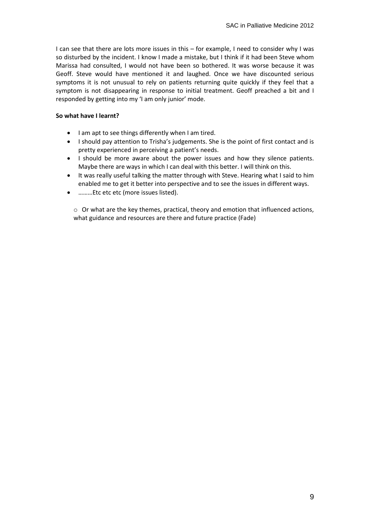I can see that there are lots more issues in this – for example, I need to consider why I was so disturbed by the incident. I know I made a mistake, but I think if it had been Steve whom Marissa had consulted, I would not have been so bothered. It was worse because it was Geoff. Steve would have mentioned it and laughed. Once we have discounted serious symptoms it is not unusual to rely on patients returning quite quickly if they feel that a symptom is not disappearing in response to initial treatment. Geoff preached a bit and I responded by getting into my 'I am only junior' mode.

## **So what have I learnt?**

- I am apt to see things differently when I am tired.
- I should pay attention to Trisha's judgements. She is the point of first contact and is pretty experienced in perceiving a patient's needs.
- I should be more aware about the power issues and how they silence patients. Maybe there are ways in which I can deal with this better. I will think on this.
- It was really useful talking the matter through with Steve. Hearing what I said to him enabled me to get it better into perspective and to see the issues in different ways.
- ………Etc etc etc (more issues listed).

 $\circ$  Or what are the key themes, practical, theory and emotion that influenced actions, what guidance and resources are there and future practice (Fade)